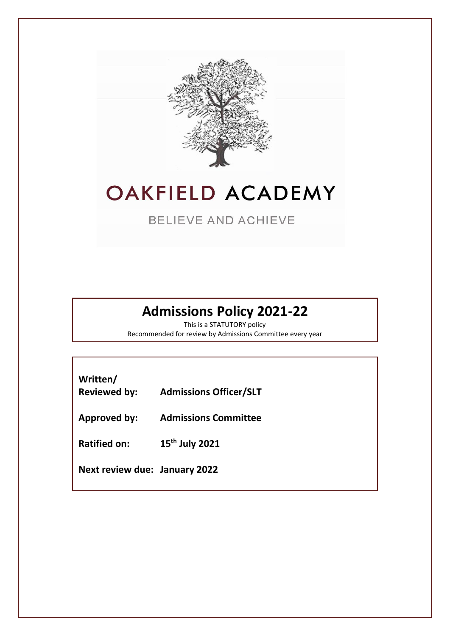

### **OAKFIELD ACADEMY**

**BELIEVE AND ACHIEVE** 

### **Admissions Policy 2021-22**

This is a STATUTORY policy Recommended for review by Admissions Committee every year

| Written/<br><b>Reviewed by:</b>      | <b>Admissions Officer/SLT</b> |
|--------------------------------------|-------------------------------|
| <b>Approved by:</b>                  | <b>Admissions Committee</b>   |
| <b>Ratified on:</b>                  | 15 <sup>th</sup> July 2021    |
| <b>Next review due: January 2022</b> |                               |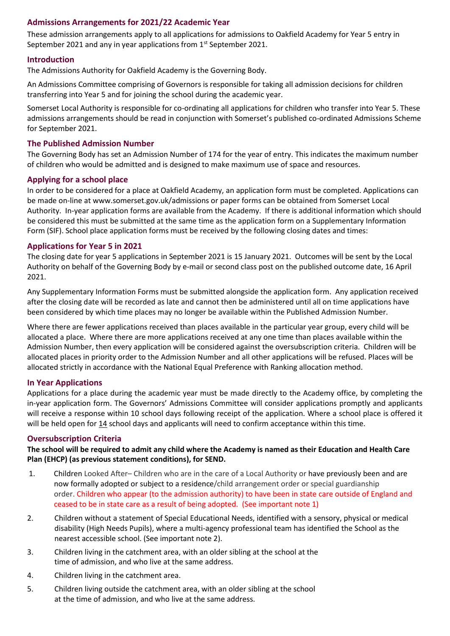#### **Admissions Arrangements for 2021/22 Academic Year**

These admission arrangements apply to all applications for admissions to Oakfield Academy for Year 5 entry in September 2021 and any in year applications from 1<sup>st</sup> September 2021.

#### **Introduction**

The Admissions Authority for Oakfield Academy is the Governing Body.

An Admissions Committee comprising of Governors is responsible for taking all admission decisions for children transferring into Year 5 and for joining the school during the academic year.

Somerset Local Authority is responsible for co-ordinating all applications for children who transfer into Year 5. These admissions arrangements should be read in conjunction with Somerset's published co-ordinated Admissions Scheme for September 2021.

#### **The Published Admission Number**

The Governing Body has set an Admission Number of 174 for the year of entry. This indicates the maximum number of children who would be admitted and is designed to make maximum use of space and resources.

#### **Applying for a school place**

In order to be considered for a place at Oakfield Academy, an application form must be completed. Applications can be made on-line at www.somerset.gov.uk/admissions or paper forms can be obtained from Somerset Local Authority. In-year application forms are available from the Academy. If there is additional information which should be considered this must be submitted at the same time as the application form on a Supplementary Information Form (SIF). School place application forms must be received by the following closing dates and times:

#### **Applications for Year 5 in 2021**

The closing date for year 5 applications in September 2021 is 15 January 2021. Outcomes will be sent by the Local Authority on behalf of the Governing Body by e-mail or second class post on the published outcome date, 16 April 2021.

Any Supplementary Information Forms must be submitted alongside the application form. Any application received after the closing date will be recorded as late and cannot then be administered until all on time applications have been considered by which time places may no longer be available within the Published Admission Number.

Where there are fewer applications received than places available in the particular year group, every child will be allocated a place. Where there are more applications received at any one time than places available within the Admission Number, then every application will be considered against the oversubscription criteria. Children will be allocated places in priority order to the Admission Number and all other applications will be refused. Places will be allocated strictly in accordance with the National Equal Preference with Ranking allocation method.

#### **In Year Applications**

Applications for a place during the academic year must be made directly to the Academy office, by completing the in-year application form. The Governors' Admissions Committee will consider applications promptly and applicants will receive a response within 10 school days following receipt of the application. Where a school place is offered it will be held open for 14 school days and applicants will need to confirm acceptance within this time.

#### **Oversubscription Criteria**

**The school will be required to admit any child where the Academy is named as their Education and Health Care Plan (EHCP) (as previous statement conditions), for SEND.**

- 1. Children Looked After– Children who are in the care of a Local Authority or have previously been and are now formally adopted or subject to a residence/child arrangement order or special guardianship order. Children who appear (to the admission authority) to have been in state care outside of England and ceased to be in state care as a result of being adopted. (See important note 1)
- 2. Children without a statement of Special Educational Needs, identified with a sensory, physical or medical disability (High Needs Pupils), where a multi-agency professional team has identified the School as the nearest accessible school. (See important note 2).
- 3. Children living in the catchment area, with an older sibling at the school at the time of admission, and who live at the same address.
- 4. Children living in the catchment area.
- 5. Children living outside the catchment area, with an older sibling at the school at the time of admission, and who live at the same address.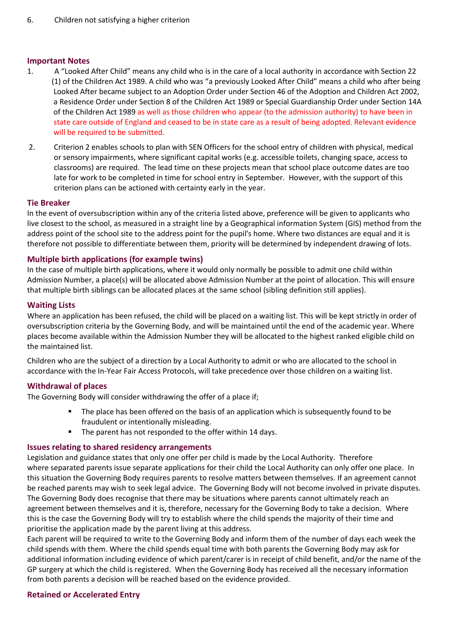#### **Important Notes**

- 1. A "Looked After Child" means any child who is in the care of a local authority in accordance with Section 22 (1) of the Children Act 1989. A child who was "a previously Looked After Child" means a child who after being Looked After became subject to an Adoption Order under Section 46 of the Adoption and Children Act 2002, a Residence Order under Section 8 of the Children Act 1989 or Special Guardianship Order under Section 14A of the Children Act 1989 as well as those children who appear (to the admission authority) to have been in state care outside of England and ceased to be in state care as a result of being adopted. Relevant evidence will be required to be submitted.
- 2. Criterion 2 enables schools to plan with SEN Officers for the school entry of children with physical, medical or sensory impairments, where significant capital works (e.g. accessible toilets, changing space, access to classrooms) are required. The lead time on these projects mean that school place outcome dates are too late for work to be completed in time for school entry in September. However, with the support of this criterion plans can be actioned with certainty early in the year.

#### **Tie Breaker**

In the event of oversubscription within any of the criteria listed above, preference will be given to applicants who live closest to the school, as measured in a straight line by a Geographical information System (GIS) method from the address point of the school site to the address point for the pupil's home. Where two distances are equal and it is therefore not possible to differentiate between them, priority will be determined by independent drawing of lots.

#### **Multiple birth applications (for example twins)**

In the case of multiple birth applications, where it would only normally be possible to admit one child within Admission Number, a place(s) will be allocated above Admission Number at the point of allocation. This will ensure that multiple birth siblings can be allocated places at the same school (sibling definition still applies).

#### **Waiting Lists**

Where an application has been refused, the child will be placed on a waiting list. This will be kept strictly in order of oversubscription criteria by the Governing Body, and will be maintained until the end of the academic year. Where places become available within the Admission Number they will be allocated to the highest ranked eligible child on the maintained list.

Children who are the subject of a direction by a Local Authority to admit or who are allocated to the school in accordance with the In-Year Fair Access Protocols, will take precedence over those children on a waiting list.

#### **Withdrawal of places**

The Governing Body will consider withdrawing the offer of a place if;

- The place has been offered on the basis of an application which is subsequently found to be fraudulent or intentionally misleading.
- The parent has not responded to the offer within 14 days.

#### **Issues relating to shared residency arrangements**

Legislation and guidance states that only one offer per child is made by the Local Authority. Therefore where separated parents issue separate applications for their child the Local Authority can only offer one place. In this situation the Governing Body requires parents to resolve matters between themselves. If an agreement cannot be reached parents may wish to seek legal advice. The Governing Body will not become involved in private disputes. The Governing Body does recognise that there may be situations where parents cannot ultimately reach an agreement between themselves and it is, therefore, necessary for the Governing Body to take a decision. Where this is the case the Governing Body will try to establish where the child spends the majority of their time and prioritise the application made by the parent living at this address.

Each parent will be required to write to the Governing Body and inform them of the number of days each week the child spends with them. Where the child spends equal time with both parents the Governing Body may ask for additional information including evidence of which parent/carer is in receipt of child benefit, and/or the name of the GP surgery at which the child is registered. When the Governing Body has received all the necessary information from both parents a decision will be reached based on the evidence provided.

#### **Retained or Accelerated Entry**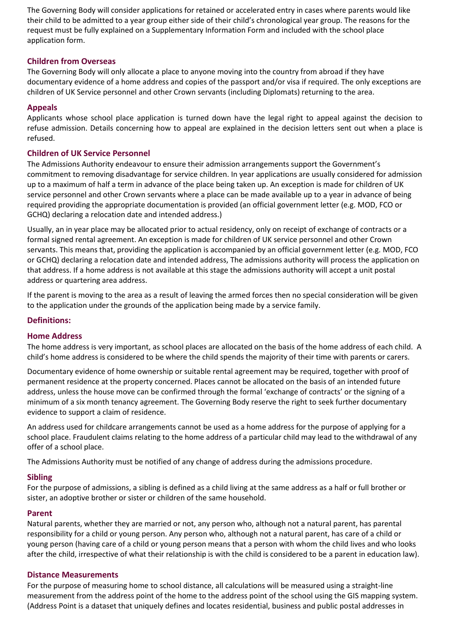The Governing Body will consider applications for retained or accelerated entry in cases where parents would like their child to be admitted to a year group either side of their child's chronological year group. The reasons for the request must be fully explained on a Supplementary Information Form and included with the school place application form.

#### **Children from Overseas**

The Governing Body will only allocate a place to anyone moving into the country from abroad if they have documentary evidence of a home address and copies of the passport and/or visa if required. The only exceptions are children of UK Service personnel and other Crown servants (including Diplomats) returning to the area.

#### **Appeals**

Applicants whose school place application is turned down have the legal right to appeal against the decision to refuse admission. Details concerning how to appeal are explained in the decision letters sent out when a place is refused.

#### **Children of UK Service Personnel**

The Admissions Authority endeavour to ensure their admission arrangements support the Government's commitment to removing disadvantage for service children. In year applications are usually considered for admission up to a maximum of half a term in advance of the place being taken up. An exception is made for children of UK service personnel and other Crown servants where a place can be made available up to a year in advance of being required providing the appropriate documentation is provided (an official government letter (e.g. MOD, FCO or GCHQ) declaring a relocation date and intended address.)

Usually, an in year place may be allocated prior to actual residency, only on receipt of exchange of contracts or a formal signed rental agreement. An exception is made for children of UK service personnel and other Crown servants. This means that, providing the application is accompanied by an official government letter (e.g. MOD, FCO or GCHQ) declaring a relocation date and intended address, The admissions authority will process the application on that address. If a home address is not available at this stage the admissions authority will accept a unit postal address or quartering area address.

If the parent is moving to the area as a result of leaving the armed forces then no special consideration will be given to the application under the grounds of the application being made by a service family.

#### **Definitions:**

#### **Home Address**

The home address is very important, as school places are allocated on the basis of the home address of each child. A child's home address is considered to be where the child spends the majority of their time with parents or carers.

Documentary evidence of home ownership or suitable rental agreement may be required, together with proof of permanent residence at the property concerned. Places cannot be allocated on the basis of an intended future address, unless the house move can be confirmed through the formal 'exchange of contracts' or the signing of a minimum of a six month tenancy agreement. The Governing Body reserve the right to seek further documentary evidence to support a claim of residence.

An address used for childcare arrangements cannot be used as a home address for the purpose of applying for a school place. Fraudulent claims relating to the home address of a particular child may lead to the withdrawal of any offer of a school place.

The Admissions Authority must be notified of any change of address during the admissions procedure.

#### **Sibling**

For the purpose of admissions, a sibling is defined as a child living at the same address as a half or full brother or sister, an adoptive brother or sister or children of the same household.

#### **Parent**

Natural parents, whether they are married or not, any person who, although not a natural parent, has parental responsibility for a child or young person. Any person who, although not a natural parent, has care of a child or young person (having care of a child or young person means that a person with whom the child lives and who looks after the child, irrespective of what their relationship is with the child is considered to be a parent in education law).

#### **Distance Measurements**

For the purpose of measuring home to school distance, all calculations will be measured using a straight-line measurement from the address point of the home to the address point of the school using the GIS mapping system. (Address Point is a dataset that uniquely defines and locates residential, business and public postal addresses in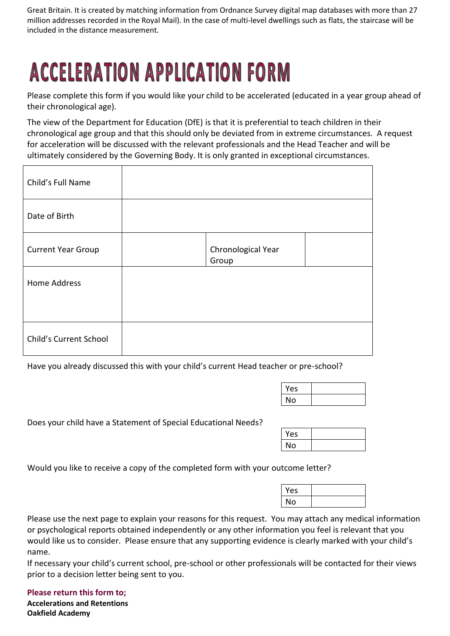Great Britain. It is created by matching information from Ordnance Survey digital map databases with more than 27 million addresses recorded in the Royal Mail). In the case of multi-level dwellings such as flats, the staircase will be included in the distance measurement.

# **ACCELERATION APPLICATION FORM**

Please complete this form if you would like your child to be accelerated (educated in a year group ahead of their chronological age).

The view of the Department for Education (DfE) is that it is preferential to teach children in their chronological age group and that this should only be deviated from in extreme circumstances. A request for acceleration will be discussed with the relevant professionals and the Head Teacher and will be ultimately considered by the Governing Body. It is only granted in exceptional circumstances.

| Child's Full Name         |                             |  |
|---------------------------|-----------------------------|--|
| Date of Birth             |                             |  |
| <b>Current Year Group</b> | Chronological Year<br>Group |  |
| Home Address              |                             |  |
|                           |                             |  |
| Child's Current School    |                             |  |

Have you already discussed this with your child's current Head teacher or pre-school?

| Yes |  |
|-----|--|
| No  |  |

Does your child have a Statement of Special Educational Needs?

| Yes |  |
|-----|--|
| No  |  |

Would you like to receive a copy of the completed form with your outcome letter?

| Yes |  |
|-----|--|
| No  |  |

Please use the next page to explain your reasons for this request. You may attach any medical information or psychological reports obtained independently or any other information you feel is relevant that you would like us to consider. Please ensure that any supporting evidence is clearly marked with your child's name.

If necessary your child's current school, pre-school or other professionals will be contacted for their views prior to a decision letter being sent to you.

**Please return this form to; Accelerations and Retentions Oakfield Academy**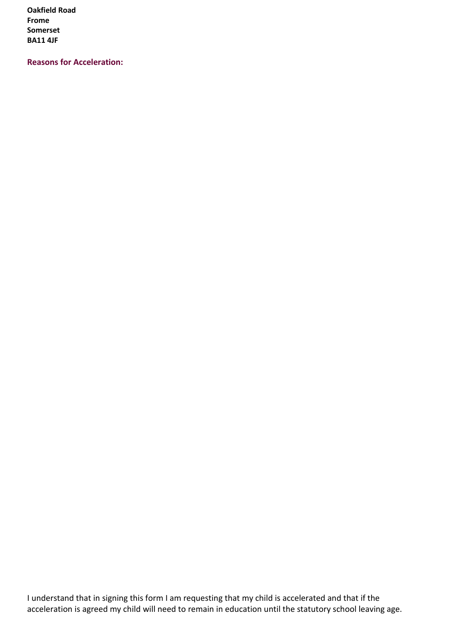**Oakfield Road Frome Somerset BA11 4JF**

**Reasons for Acceleration:**

I understand that in signing this form I am requesting that my child is accelerated and that if the acceleration is agreed my child will need to remain in education until the statutory school leaving age.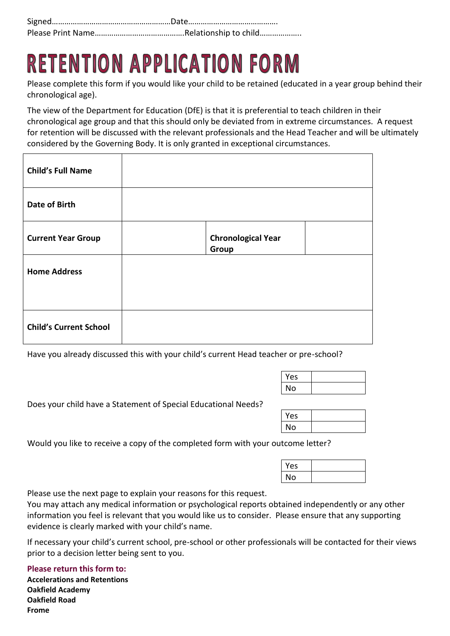## **RETENTION APPLICATION FORM**

Please complete this form if you would like your child to be retained (educated in a year group behind their chronological age).

The view of the Department for Education (DfE) is that it is preferential to teach children in their chronological age group and that this should only be deviated from in extreme circumstances. A request for retention will be discussed with the relevant professionals and the Head Teacher and will be ultimately considered by the Governing Body. It is only granted in exceptional circumstances.

| <b>Child's Full Name</b>      |                                    |  |
|-------------------------------|------------------------------------|--|
| Date of Birth                 |                                    |  |
| <b>Current Year Group</b>     | <b>Chronological Year</b><br>Group |  |
| <b>Home Address</b>           |                                    |  |
| <b>Child's Current School</b> |                                    |  |

Have you already discussed this with your child's current Head teacher or pre-school?

| Yes |  |
|-----|--|
| No  |  |

Does your child have a Statement of Special Educational Needs?

| Yes |  |
|-----|--|
| No  |  |

Would you like to receive a copy of the completed form with your outcome letter?

| Yes |  |
|-----|--|
| No  |  |

Please use the next page to explain your reasons for this request.

You may attach any medical information or psychological reports obtained independently or any other information you feel is relevant that you would like us to consider. Please ensure that any supporting evidence is clearly marked with your child's name.

If necessary your child's current school, pre-school or other professionals will be contacted for their views prior to a decision letter being sent to you.

**Please return this form to:**

**Accelerations and Retentions Oakfield Academy Oakfield Road Frome**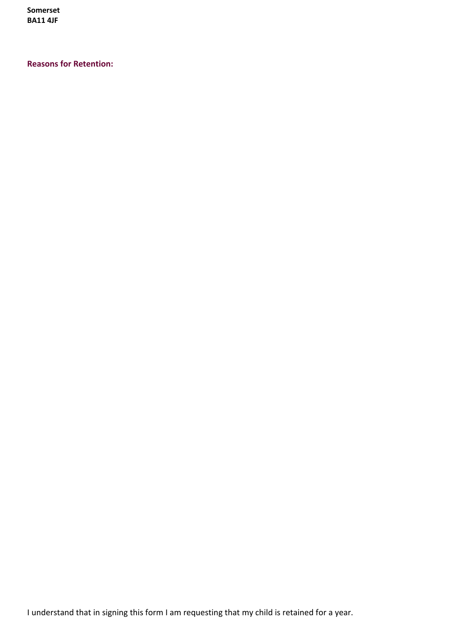**Somerset BA11 4JF**

#### **Reasons for Retention:**